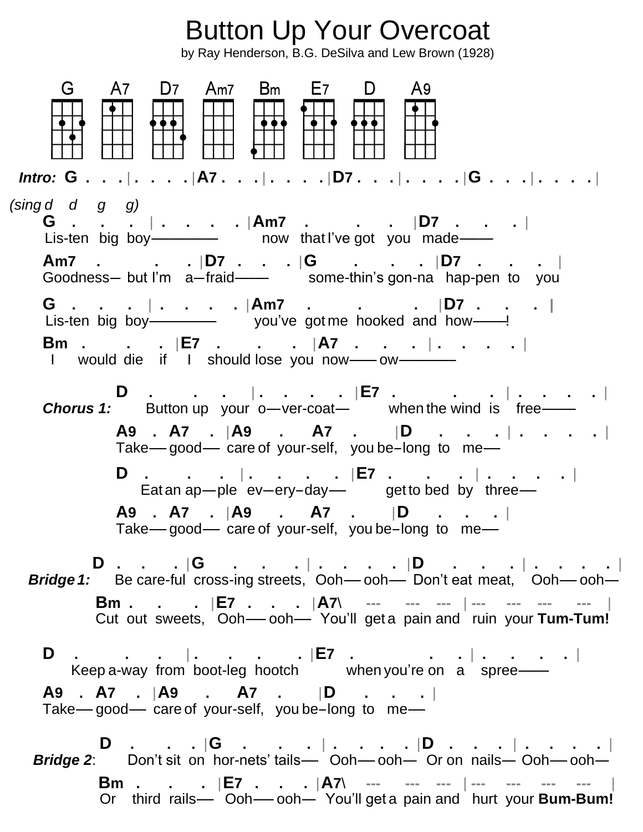Button Up Your Overcoat by Ray Henderson, B.G. DeSilva and Lew Brown (1928) A7 D7 Am7 Bm E7 D G. A9 *Intro:* **G . . .** | **. . . .** |**A7 . . .** | **. . . .** |**D7 . . .** | **. . . .** |**G . . .** | **. . . .** | *(sing d d g g)* **G . . .** | **. . . .** |**Am7 . . .** |**D7 . . .** | Lis-ten big boy----------------- now that I've got you made-------**Am7 . . .** |**D7 . . .** |**G . . .** |**D7 . . .** | Fill contains a summan and the some-thin's gon-na hap-pen to you **G . . .** | **. . . .** |**Am7 . . .** |**D7 . . . |** Lis-ten big boy-------------------- you've got me hooked and how----------! **Bm . . .** |**E7 . . .** |**A7 . . .** | **. . . .** | I would die if I should lose you now------------ **D . . .** | **. . . .** |**E7 . . .** | **. . . .** | **Chorus 1:** Button up your o-ver-coat-<br>when the wind is free- **A9 . A7 .** |**A9 . A7 .** |**D . . .** | **. . . .** | Take-good----- care of your-self, you be-long to me--- **D . . .** | **. . . .** |**E7 . . .** | **. . . .** | Eat an ap---ple ev--ery-day--- get to bed by three--- **A9 . A7 .** |**A9 . A7 .** |**D . . .** | Take- $-$  good---- care of your-self, you be-long to me--- **D . . .** |**G . . .** | **. . . .** |**D . . .** | **. . . .** | **Bridge 1:** Be care-ful cross-ing streets, Ooh--- ooh--- Don't eat meat, Ooh--- ooh-- **Bm . . .** |**E7 . . .** |**A7**\ **--- --- ---** | **--- --- --- ---** | Cut out sweets, Ooh------ ooh----- You'll get a pain and ruin your **Tum-Tum! D . . .** | **. . . .** |**E7 . . .** | **. . . .** | Keep a-way from boot-leg hootch when you're on a spree-**A9 . A7 .** |**A9 . A7 .** |**D . . .** | Take--good--- care of your-self, you be-long to me--- **D . . .** |**G . . .** | **. . . .** |**D . . .** | **. . . .** | **Bridge 2**: Don't sit on hor-nets' tails- Ooh--- ooh--- Or on nails-- Ooh--- ooh--- **Bm . . .** |**E7 . . .** |**A7**\ **--- --- ---** | **--- --- --- ---** | Or third rails----- Ooh------ ooh---- You'll get a pain and hurt your **Bum-Bum!**